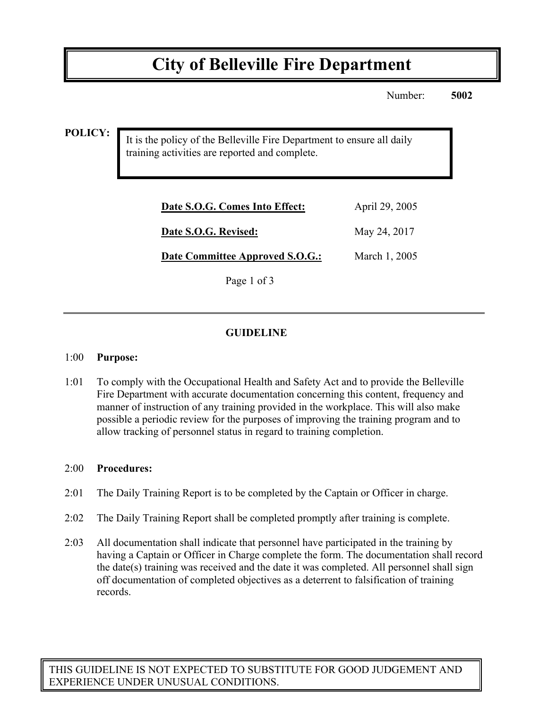# **City of Belleville Fire Department**

Number: **5002**

**POLICY:**

It is the policy of the Belleville Fire Department to ensure all daily training activities are reported and complete.

| Date S.O.G. Comes Into Effect:  | April 29, 2005 |
|---------------------------------|----------------|
| Date S.O.G. Revised:            | May 24, 2017   |
| Date Committee Approved S.O.G.: | March 1, 2005  |

Page 1 of 3

## **GUIDELINE**

#### 1:00 **Purpose:**

1:01 To comply with the Occupational Health and Safety Act and to provide the Belleville Fire Department with accurate documentation concerning this content, frequency and manner of instruction of any training provided in the workplace. This will also make possible a periodic review for the purposes of improving the training program and to allow tracking of personnel status in regard to training completion.

#### 2:00 **Procedures:**

- 2:01 The Daily Training Report is to be completed by the Captain or Officer in charge.
- 2:02 The Daily Training Report shall be completed promptly after training is complete.
- 2:03 All documentation shall indicate that personnel have participated in the training by having a Captain or Officer in Charge complete the form. The documentation shall record the date(s) training was received and the date it was completed. All personnel shall sign off documentation of completed objectives as a deterrent to falsification of training records.

THIS GUIDELINE IS NOT EXPECTED TO SUBSTITUTE FOR GOOD JUDGEMENT AND EXPERIENCE UNDER UNUSUAL CONDITIONS.